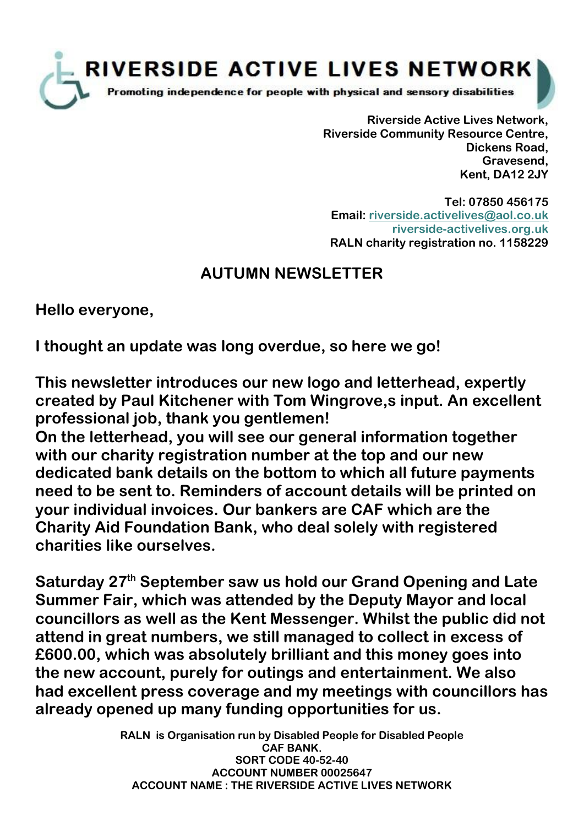

**Riverside Active Lives Network, Riverside Community Resource Centre, Dickens Road, Gravesend, Kent, DA12 2JY**

**Tel: 07850 456175 Email: [riverside.activelives@aol.co.uk](mailto:riverside.activelives@aol.co.uk;) riverside-activelives.org.uk RALN charity registration no. 1158229**

## **AUTUMN NEWSLETTER**

**Hello everyone,**

**I thought an update was long overdue, so here we go!**

**This newsletter introduces our new logo and letterhead, expertly created by Paul Kitchener with Tom Wingrove,s input. An excellent professional job, thank you gentlemen!**

**On the letterhead, you will see our general information together with our charity registration number at the top and our new dedicated bank details on the bottom to which all future payments need to be sent to. Reminders of account details will be printed on your individual invoices. Our bankers are CAF which are the Charity Aid Foundation Bank, who deal solely with registered charities like ourselves.**

**Saturday 27th September saw us hold our Grand Opening and Late Summer Fair, which was attended by the Deputy Mayor and local councillors as well as the Kent Messenger. Whilst the public did not attend in great numbers, we still managed to collect in excess of £600.00, which was absolutely brilliant and this money goes into the new account, purely for outings and entertainment. We also had excellent press coverage and my meetings with councillors has already opened up many funding opportunities for us.**

> **RALN is Organisation run by Disabled People for Disabled People CAF BANK. SORT CODE 40-52-40 ACCOUNT NUMBER 00025647 ACCOUNT NAME : THE RIVERSIDE ACTIVE LIVES NETWORK**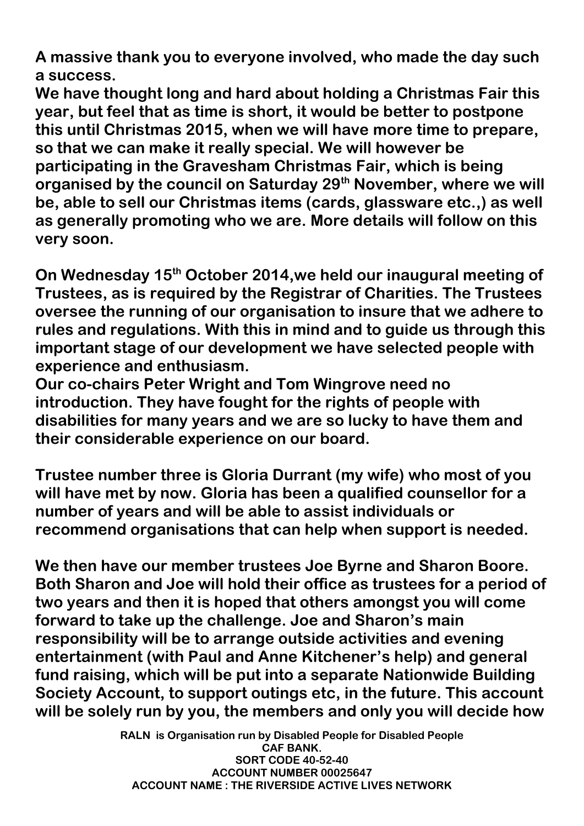**A massive thank you to everyone involved, who made the day such a success.**

**We have thought long and hard about holding a Christmas Fair this year, but feel that as time is short, it would be better to postpone this until Christmas 2015, when we will have more time to prepare, so that we can make it really special. We will however be participating in the Gravesham Christmas Fair, which is being organised by the council on Saturday 29th November, where we will be, able to sell our Christmas items (cards, glassware etc.,) as well as generally promoting who we are. More details will follow on this very soon.** 

**On Wednesday 15th October 2014,we held our inaugural meeting of Trustees, as is required by the Registrar of Charities. The Trustees oversee the running of our organisation to insure that we adhere to rules and regulations. With this in mind and to guide us through this important stage of our development we have selected people with experience and enthusiasm.**

**Our co-chairs Peter Wright and Tom Wingrove need no introduction. They have fought for the rights of people with disabilities for many years and we are so lucky to have them and their considerable experience on our board.**

**Trustee number three is Gloria Durrant (my wife) who most of you will have met by now. Gloria has been a qualified counsellor for a number of years and will be able to assist individuals or recommend organisations that can help when support is needed.**

**We then have our member trustees Joe Byrne and Sharon Boore. Both Sharon and Joe will hold their office as trustees for a period of two years and then it is hoped that others amongst you will come forward to take up the challenge. Joe and Sharon's main responsibility will be to arrange outside activities and evening entertainment (with Paul and Anne Kitchener's help) and general fund raising, which will be put into a separate Nationwide Building Society Account, to support outings etc, in the future. This account will be solely run by you, the members and only you will decide how** 

> **RALN is Organisation run by Disabled People for Disabled People CAF BANK. SORT CODE 40-52-40 ACCOUNT NUMBER 00025647 ACCOUNT NAME : THE RIVERSIDE ACTIVE LIVES NETWORK**